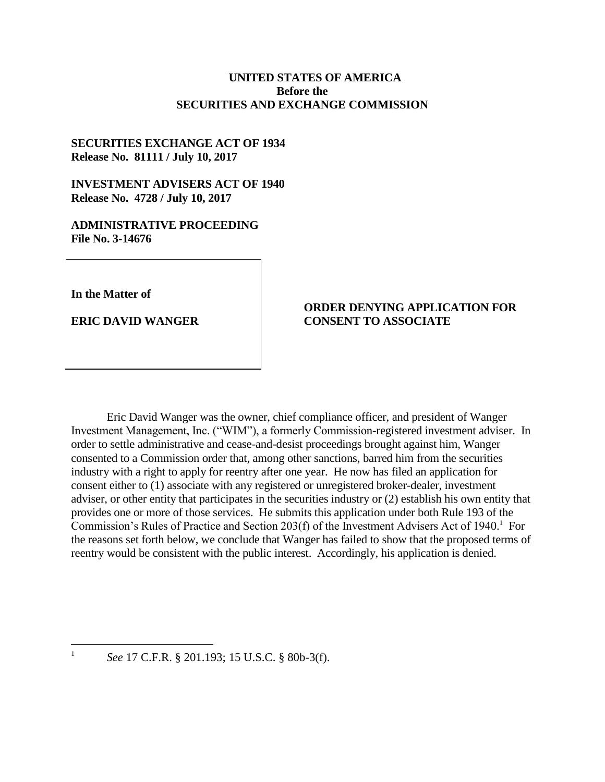## **UNITED STATES OF AMERICA Before the SECURITIES AND EXCHANGE COMMISSION**

# **SECURITIES EXCHANGE ACT OF 1934 Release No. 81111 / July 10, 2017**

# **INVESTMENT ADVISERS ACT OF 1940 Release No. 4728 / July 10, 2017**

## **ADMINISTRATIVE PROCEEDING File No. 3-14676**

**In the Matter of**

 $\overline{a}$ 1

**ERIC DAVID WANGER**

## **ORDER DENYING APPLICATION FOR CONSENT TO ASSOCIATE**

Eric David Wanger was the owner, chief compliance officer, and president of Wanger Investment Management, Inc. ("WIM"), a formerly Commission-registered investment adviser. In order to settle administrative and cease-and-desist proceedings brought against him, Wanger consented to a Commission order that, among other sanctions, barred him from the securities industry with a right to apply for reentry after one year. He now has filed an application for consent either to (1) associate with any registered or unregistered broker-dealer, investment adviser, or other entity that participates in the securities industry or (2) establish his own entity that provides one or more of those services. He submits this application under both Rule 193 of the Commission's Rules of Practice and Section 203(f) of the Investment Advisers Act of 1940.<sup>1</sup> For the reasons set forth below, we conclude that Wanger has failed to show that the proposed terms of reentry would be consistent with the public interest. Accordingly, his application is denied.

*See* 17 C.F.R. § 201.193; 15 U.S.C. § 80b-3(f).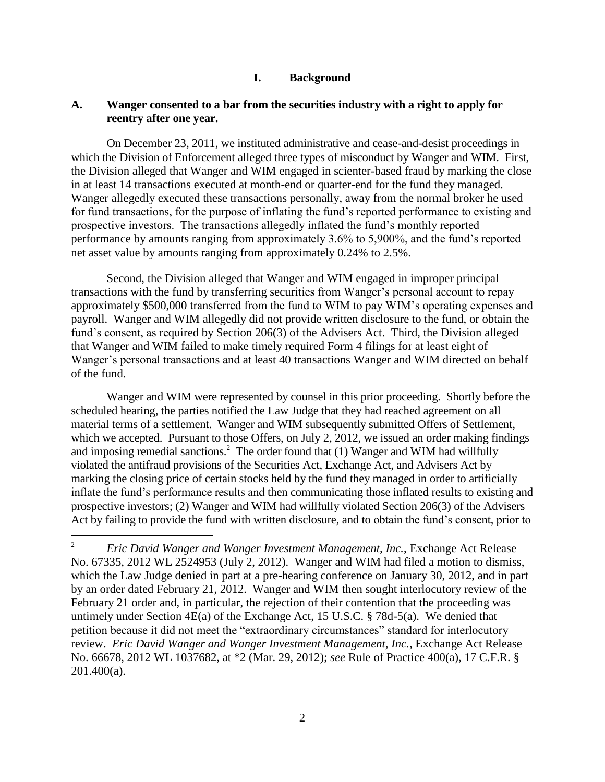## **I. Background**

#### **A. Wanger consented to a bar from the securities industry with a right to apply for reentry after one year.**

On December 23, 2011, we instituted administrative and cease-and-desist proceedings in which the Division of Enforcement alleged three types of misconduct by Wanger and WIM. First, the Division alleged that Wanger and WIM engaged in scienter-based fraud by marking the close in at least 14 transactions executed at month-end or quarter-end for the fund they managed. Wanger allegedly executed these transactions personally, away from the normal broker he used for fund transactions, for the purpose of inflating the fund's reported performance to existing and prospective investors. The transactions allegedly inflated the fund's monthly reported performance by amounts ranging from approximately 3.6% to 5,900%, and the fund's reported net asset value by amounts ranging from approximately 0.24% to 2.5%.

Second, the Division alleged that Wanger and WIM engaged in improper principal transactions with the fund by transferring securities from Wanger's personal account to repay approximately \$500,000 transferred from the fund to WIM to pay WIM's operating expenses and payroll. Wanger and WIM allegedly did not provide written disclosure to the fund, or obtain the fund's consent, as required by Section 206(3) of the Advisers Act. Third, the Division alleged that Wanger and WIM failed to make timely required Form 4 filings for at least eight of Wanger's personal transactions and at least 40 transactions Wanger and WIM directed on behalf of the fund.

Wanger and WIM were represented by counsel in this prior proceeding. Shortly before the scheduled hearing, the parties notified the Law Judge that they had reached agreement on all material terms of a settlement. Wanger and WIM subsequently submitted Offers of Settlement, which we accepted. Pursuant to those Offers, on July 2, 2012, we issued an order making findings and imposing remedial sanctions.<sup>2</sup> The order found that  $(1)$  Wanger and WIM had willfully violated the antifraud provisions of the Securities Act, Exchange Act, and Advisers Act by marking the closing price of certain stocks held by the fund they managed in order to artificially inflate the fund's performance results and then communicating those inflated results to existing and prospective investors; (2) Wanger and WIM had willfully violated Section 206(3) of the Advisers Act by failing to provide the fund with written disclosure, and to obtain the fund's consent, prior to

<sup>2</sup> *Eric David Wanger and Wanger Investment Management, Inc.*, Exchange Act Release No. 67335, 2012 WL 2524953 (July 2, 2012). Wanger and WIM had filed a motion to dismiss, which the Law Judge denied in part at a pre-hearing conference on January 30, 2012, and in part by an order dated February 21, 2012. Wanger and WIM then sought interlocutory review of the February 21 order and, in particular, the rejection of their contention that the proceeding was untimely under Section 4E(a) of the Exchange Act, 15 U.S.C. § 78d-5(a). We denied that petition because it did not meet the "extraordinary circumstances" standard for interlocutory review. *Eric David Wanger and Wanger Investment Management, Inc.*, Exchange Act Release No. 66678, 2012 WL 1037682, at \*2 (Mar. 29, 2012); *see* Rule of Practice 400(a), 17 C.F.R. §  $201.400(a)$ .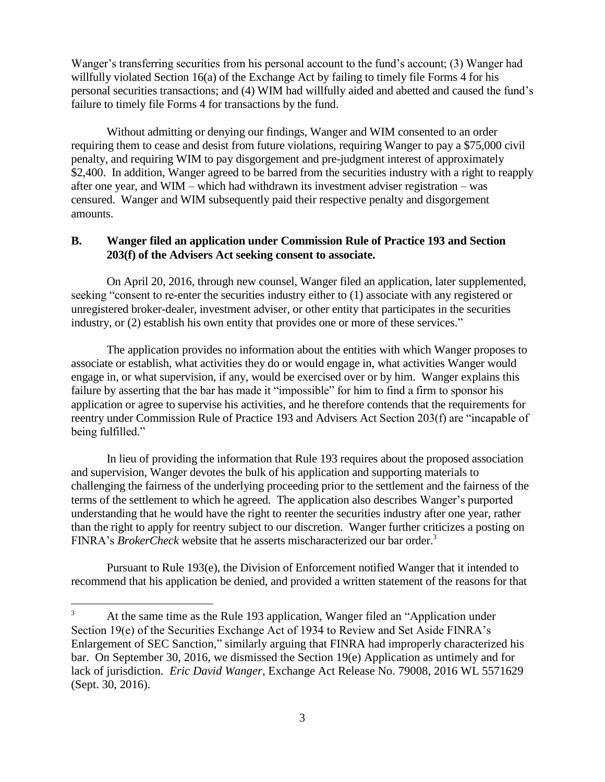Wanger's transferring securities from his personal account to the fund's account; (3) Wanger had willfully violated Section 16(a) of the Exchange Act by failing to timely file Forms 4 for his personal securities transactions; and (4) WIM had willfully aided and abetted and caused the fund's failure to timely file Forms 4 for transactions by the fund.

Without admitting or denying our findings, Wanger and WIM consented to an order requiring them to cease and desist from future violations, requiring Wanger to pay a \$75,000 civil penalty, and requiring WIM to pay disgorgement and pre-judgment interest of approximately \$2,400. In addition, Wanger agreed to be barred from the securities industry with a right to reapply after one year, and WIM – which had withdrawn its investment adviser registration – was censured. Wanger and WIM subsequently paid their respective penalty and disgorgement amounts.

## **B. Wanger filed an application under Commission Rule of Practice 193 and Section 203(f) of the Advisers Act seeking consent to associate.**

On April 20, 2016, through new counsel, Wanger filed an application, later supplemented, seeking "consent to re-enter the securities industry either to  $(1)$  associate with any registered or unregistered broker-dealer, investment adviser, or other entity that participates in the securities industry, or (2) establish his own entity that provides one or more of these services."

The application provides no information about the entities with which Wanger proposes to associate or establish, what activities they do or would engage in, what activities Wanger would engage in, or what supervision, if any, would be exercised over or by him. Wanger explains this failure by asserting that the bar has made it "impossible" for him to find a firm to sponsor his application or agree to supervise his activities, and he therefore contends that the requirements for reentry under Commission Rule of Practice 193 and Advisers Act Section 203(f) are "incapable of being fulfilled."

In lieu of providing the information that Rule 193 requires about the proposed association and supervision, Wanger devotes the bulk of his application and supporting materials to challenging the fairness of the underlying proceeding prior to the settlement and the fairness of the terms of the settlement to which he agreed. The application also describes Wanger's purported understanding that he would have the right to reenter the securities industry after one year, rather than the right to apply for reentry subject to our discretion. Wanger further criticizes a posting on FINRA's *BrokerCheck* website that he asserts mischaracterized our bar order.<sup>3</sup>

Pursuant to Rule 193(e), the Division of Enforcement notified Wanger that it intended to recommend that his application be denied, and provided a written statement of the reasons for that

<sup>&</sup>lt;sup>3</sup> At the same time as the Rule 193 application, Wanger filed an "Application under Section 19(e) of the Securities Exchange Act of 1934 to Review and Set Aside FINRA's Enlargement of SEC Sanction," similarly arguing that FINRA had improperly characterized his bar. On September 30, 2016, we dismissed the Section 19(e) Application as untimely and for lack of jurisdiction. *Eric David Wanger*, Exchange Act Release No. 79008, 2016 WL 5571629 (Sept. 30, 2016).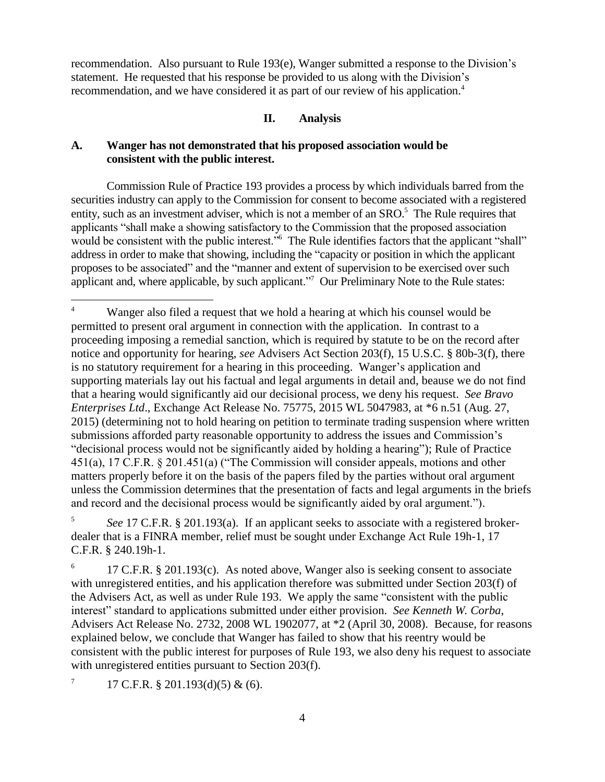recommendation. Also pursuant to Rule 193(e), Wanger submitted a response to the Division's statement. He requested that his response be provided to us along with the Division's recommendation, and we have considered it as part of our review of his application.<sup>4</sup>

## **II. Analysis**

## **A. Wanger has not demonstrated that his proposed association would be consistent with the public interest.**

Commission Rule of Practice 193 provides a process by which individuals barred from the securities industry can apply to the Commission for consent to become associated with a registered entity, such as an investment adviser, which is not a member of an SRO.<sup>5</sup> The Rule requires that applicants "shall make a showing satisfactory to the Commission that the proposed association would be consistent with the public interest.<sup>"6</sup> The Rule identifies factors that the applicant "shall" address in order to make that showing, including the "capacity or position in which the applicant proposes to be associated" and the "manner and extent of supervision to be exercised over such applicant and, where applicable, by such applicant."<sup>7</sup> Our Preliminary Note to the Rule states:

5 *See* 17 C.F.R. § 201.193(a). If an applicant seeks to associate with a registered brokerdealer that is a FINRA member, relief must be sought under Exchange Act Rule 19h-1, 17 C.F.R. § 240.19h-1.

6 17 C.F.R. § 201.193(c). As noted above, Wanger also is seeking consent to associate with unregistered entities, and his application therefore was submitted under Section 203(f) of the Advisers Act, as well as under Rule 193. We apply the same "consistent with the public interest" standard to applications submitted under either provision. *See Kenneth W. Corba*, Advisers Act Release No. 2732, 2008 WL 1902077, at \*2 (April 30, 2008). Because, for reasons explained below, we conclude that Wanger has failed to show that his reentry would be consistent with the public interest for purposes of Rule 193, we also deny his request to associate with unregistered entities pursuant to Section 203(f).

7 17 C.F.R. § 201.193(d)(5) & (6).

<sup>&</sup>lt;sup>4</sup> Wanger also filed a request that we hold a hearing at which his counsel would be permitted to present oral argument in connection with the application. In contrast to a proceeding imposing a remedial sanction, which is required by statute to be on the record after notice and opportunity for hearing, *see* Advisers Act Section 203(f), 15 U.S.C. § 80b-3(f), there is no statutory requirement for a hearing in this proceeding. Wanger's application and supporting materials lay out his factual and legal arguments in detail and, beause we do not find that a hearing would significantly aid our decisional process, we deny his request. *See Bravo Enterprises Ltd*., Exchange Act Release No. 75775, 2015 WL 5047983, at \*6 n.51 (Aug. 27, 2015) (determining not to hold hearing on petition to terminate trading suspension where written submissions afforded party reasonable opportunity to address the issues and Commission's "decisional process would not be significantly aided by holding a hearing"); Rule of Practice 451(a), 17 C.F.R. § 201.451(a) ("The Commission will consider appeals, motions and other matters properly before it on the basis of the papers filed by the parties without oral argument unless the Commission determines that the presentation of facts and legal arguments in the briefs and record and the decisional process would be significantly aided by oral argument.").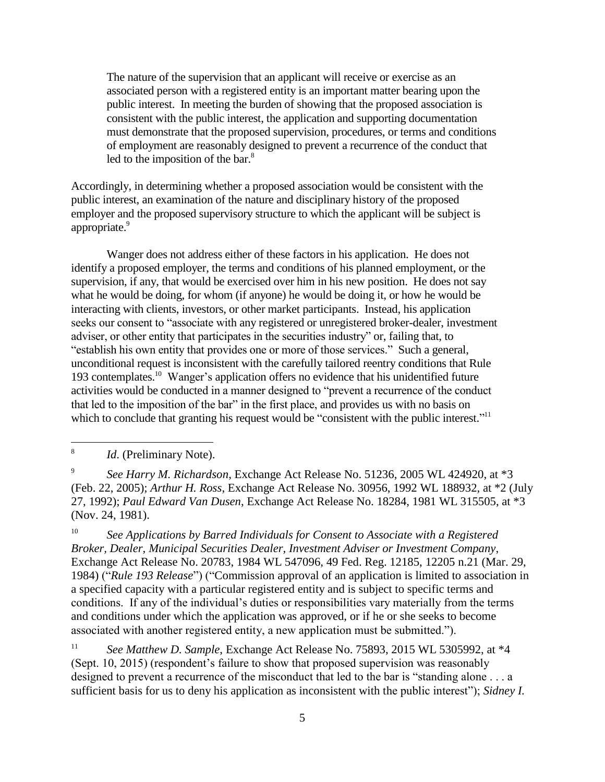The nature of the supervision that an applicant will receive or exercise as an associated person with a registered entity is an important matter bearing upon the public interest. In meeting the burden of showing that the proposed association is consistent with the public interest, the application and supporting documentation must demonstrate that the proposed supervision, procedures, or terms and conditions of employment are reasonably designed to prevent a recurrence of the conduct that led to the imposition of the bar. $8$ 

Accordingly, in determining whether a proposed association would be consistent with the public interest, an examination of the nature and disciplinary history of the proposed employer and the proposed supervisory structure to which the applicant will be subject is appropriate. 9

Wanger does not address either of these factors in his application. He does not identify a proposed employer, the terms and conditions of his planned employment, or the supervision, if any, that would be exercised over him in his new position. He does not say what he would be doing, for whom (if anyone) he would be doing it, or how he would be interacting with clients, investors, or other market participants. Instead, his application seeks our consent to "associate with any registered or unregistered broker-dealer, investment adviser, or other entity that participates in the securities industry" or, failing that, to "establish his own entity that provides one or more of those services." Such a general, unconditional request is inconsistent with the carefully tailored reentry conditions that Rule 193 contemplates. <sup>10</sup> Wanger's application offers no evidence that his unidentified future activities would be conducted in a manner designed to "prevent a recurrence of the conduct that led to the imposition of the bar" in the first place, and provides us with no basis on which to conclude that granting his request would be "consistent with the public interest."<sup>11</sup>

 $\overline{a}$ 

<sup>10</sup> *See Applications by Barred Individuals for Consent to Associate with a Registered Broker, Dealer, Municipal Securities Dealer, Investment Adviser or Investment Company*, Exchange Act Release No. 20783, 1984 WL 547096, 49 Fed. Reg. 12185, 12205 n.21 (Mar. 29, 1984) ("*Rule 193 Release*") ("Commission approval of an application is limited to association in a specified capacity with a particular registered entity and is subject to specific terms and conditions. If any of the individual's duties or responsibilities vary materially from the terms and conditions under which the application was approved, or if he or she seeks to become associated with another registered entity, a new application must be submitted.").

<sup>11</sup> See Matthew D. Sample, Exchange Act Release No. 75893, 2015 WL 5305992, at \*4 (Sept. 10, 2015) (respondent's failure to show that proposed supervision was reasonably designed to prevent a recurrence of the misconduct that led to the bar is "standing alone . . . a sufficient basis for us to deny his application as inconsistent with the public interest"); *Sidney I.* 

<sup>8</sup> *Id*. (Preliminary Note).

<sup>9</sup> *See Harry M. Richardson*, Exchange Act Release No. 51236, 2005 WL 424920, at \*3 (Feb. 22, 2005); *Arthur H. Ross*, Exchange Act Release No. 30956, 1992 WL 188932, at \*2 (July 27, 1992); *Paul Edward Van Dusen*, Exchange Act Release No. 18284, 1981 WL 315505, at \*3 (Nov. 24, 1981).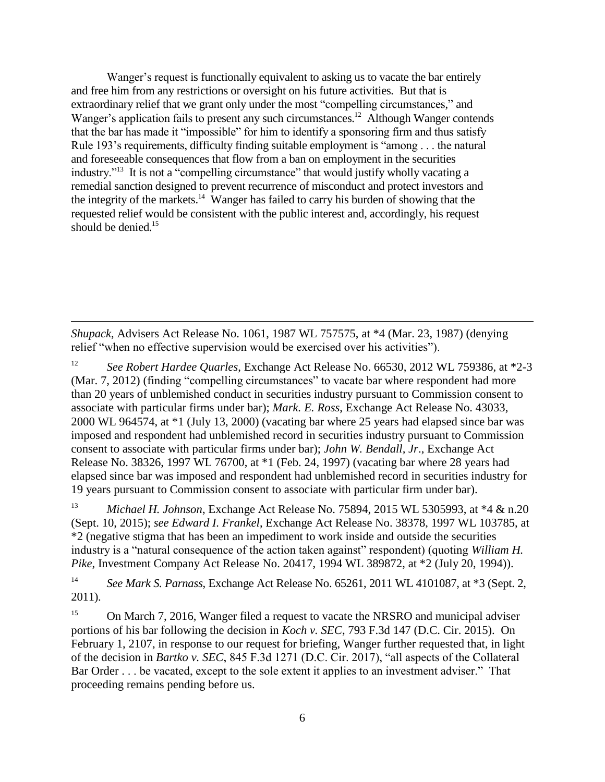Wanger's request is functionally equivalent to asking us to vacate the bar entirely and free him from any restrictions or oversight on his future activities. But that is extraordinary relief that we grant only under the most "compelling circumstances," and Wanger's application fails to present any such circumstances.<sup>12</sup> Although Wanger contends that the bar has made it "impossible" for him to identify a sponsoring firm and thus satisfy Rule 193's requirements, difficulty finding suitable employment is "among . . . the natural and foreseeable consequences that flow from a ban on employment in the securities industry."<sup>13</sup> It is not a "compelling circumstance" that would justify wholly vacating a remedial sanction designed to prevent recurrence of misconduct and protect investors and the integrity of the markets.<sup>14</sup> Wanger has failed to carry his burden of showing that the requested relief would be consistent with the public interest and, accordingly, his request should be denied. 15

*Shupack*, Advisers Act Release No. 1061, 1987 WL 757575, at \*4 (Mar. 23, 1987) (denying relief "when no effective supervision would be exercised over his activities").

 $\overline{a}$ 

<sup>12</sup> *See Robert Hardee Quarles*, Exchange Act Release No. 66530, 2012 WL 759386, at \*2-3 (Mar. 7, 2012) (finding "compelling circumstances" to vacate bar where respondent had more than 20 years of unblemished conduct in securities industry pursuant to Commission consent to associate with particular firms under bar); *Mark. E. Ross*, Exchange Act Release No. 43033, 2000 WL 964574, at \*1 (July 13, 2000) (vacating bar where 25 years had elapsed since bar was imposed and respondent had unblemished record in securities industry pursuant to Commission consent to associate with particular firms under bar); *John W. Bendall, Jr*., Exchange Act Release No. 38326, 1997 WL 76700, at \*1 (Feb. 24, 1997) (vacating bar where 28 years had elapsed since bar was imposed and respondent had unblemished record in securities industry for 19 years pursuant to Commission consent to associate with particular firm under bar).

<sup>13</sup> *Michael H. Johnson*, Exchange Act Release No. 75894, 2015 WL 5305993, at \*4 & n.20 (Sept. 10, 2015); *see Edward I. Frankel*, Exchange Act Release No. 38378, 1997 WL 103785, at \*2 (negative stigma that has been an impediment to work inside and outside the securities industry is a "natural consequence of the action taken against" respondent) (quoting *William H. Pike*, Investment Company Act Release No. 20417, 1994 WL 389872, at \*2 (July 20, 1994)).

<sup>14</sup> *See Mark S. Parnass*, Exchange Act Release No. 65261, 2011 WL 4101087, at \*3 (Sept. 2, 2011).

<sup>15</sup> On March 7, 2016, Wanger filed a request to vacate the NRSRO and municipal adviser portions of his bar following the decision in *Koch v. SEC*, 793 F.3d 147 (D.C. Cir. 2015). On February 1, 2107, in response to our request for briefing, Wanger further requested that, in light of the decision in *Bartko v. SEC*, 845 F.3d 1271 (D.C. Cir. 2017), "all aspects of the Collateral Bar Order . . . be vacated, except to the sole extent it applies to an investment adviser." That proceeding remains pending before us.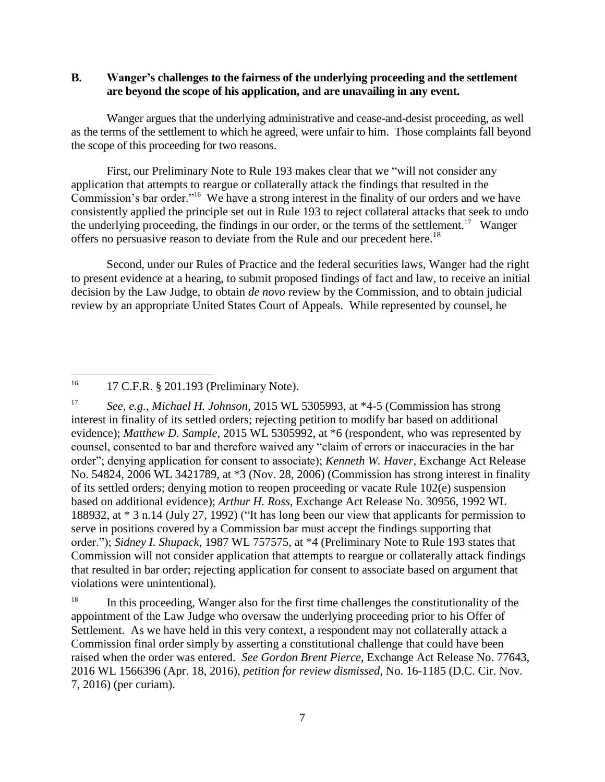## **B. Wanger's challenges to the fairness of the underlying proceeding and the settlement are beyond the scope of his application, and are unavailing in any event.**

Wanger argues that the underlying administrative and cease-and-desist proceeding, as well as the terms of the settlement to which he agreed, were unfair to him. Those complaints fall beyond the scope of this proceeding for two reasons.

First, our Preliminary Note to Rule 193 makes clear that we "will not consider any application that attempts to reargue or collaterally attack the findings that resulted in the Commission's bar order."<sup>16</sup> We have a strong interest in the finality of our orders and we have consistently applied the principle set out in Rule 193 to reject collateral attacks that seek to undo the underlying proceeding, the findings in our order, or the terms of the settlement.<sup>17</sup> Wanger offers no persuasive reason to deviate from the Rule and our precedent here.<sup>18</sup>

Second, under our Rules of Practice and the federal securities laws, Wanger had the right to present evidence at a hearing, to submit proposed findings of fact and law, to receive an initial decision by the Law Judge, to obtain *de novo* review by the Commission, and to obtain judicial review by an appropriate United States Court of Appeals. While represented by counsel, he

<sup>16</sup> 17 C.F.R. § 201.193 (Preliminary Note).

 $\overline{a}$ 

<sup>17</sup> *See, e.g.*, *Michael H. Johnson*, 2015 WL 5305993, at \*4-5 (Commission has strong interest in finality of its settled orders; rejecting petition to modify bar based on additional evidence); *Matthew D. Sample*, 2015 WL 5305992, at \*6 (respondent, who was represented by counsel, consented to bar and therefore waived any "claim of errors or inaccuracies in the bar order"; denying application for consent to associate); *Kenneth W. Haver*, Exchange Act Release No. 54824, 2006 WL 3421789, at \*3 (Nov. 28, 2006) (Commission has strong interest in finality of its settled orders; denying motion to reopen proceeding or vacate Rule 102(e) suspension based on additional evidence); *Arthur H. Ross*, Exchange Act Release No. 30956, 1992 WL 188932, at \* 3 n.14 (July 27, 1992) ("It has long been our view that applicants for permission to serve in positions covered by a Commission bar must accept the findings supporting that order."); *Sidney I. Shupack*, 1987 WL 757575, at \*4 (Preliminary Note to Rule 193 states that Commission will not consider application that attempts to reargue or collaterally attack findings that resulted in bar order; rejecting application for consent to associate based on argument that violations were unintentional).

<sup>18</sup> In this proceeding, Wanger also for the first time challenges the constitutionality of the appointment of the Law Judge who oversaw the underlying proceeding prior to his Offer of Settlement. As we have held in this very context, a respondent may not collaterally attack a Commission final order simply by asserting a constitutional challenge that could have been raised when the order was entered. *See Gordon Brent Pierce*, Exchange Act Release No. 77643, 2016 WL 1566396 (Apr. 18, 2016), *petition for review dismissed*, No. 16-1185 (D.C. Cir. Nov. 7, 2016) (per curiam).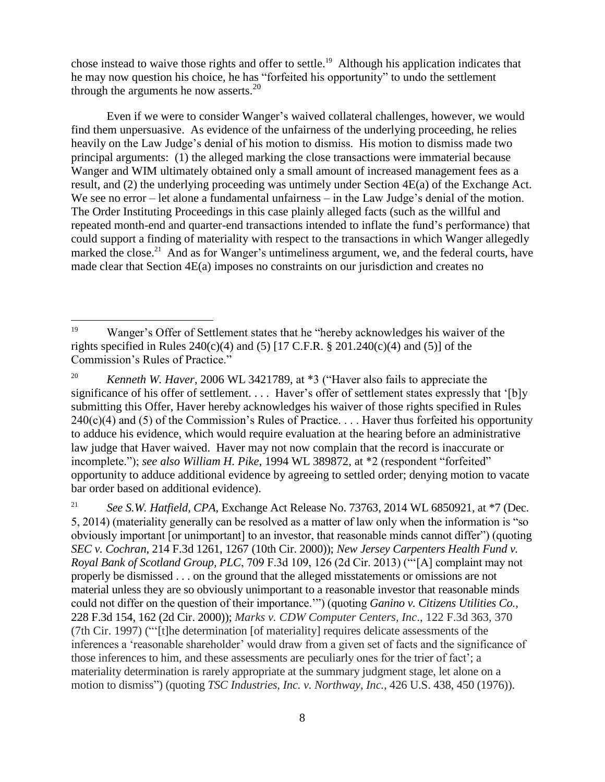chose instead to waive those rights and offer to settle. 19 Although his application indicates that he may now question his choice, he has "forfeited his opportunity" to undo the settlement through the arguments he now asserts. $20$ 

Even if we were to consider Wanger's waived collateral challenges, however, we would find them unpersuasive. As evidence of the unfairness of the underlying proceeding, he relies heavily on the Law Judge's denial of his motion to dismiss. His motion to dismiss made two principal arguments: (1) the alleged marking the close transactions were immaterial because Wanger and WIM ultimately obtained only a small amount of increased management fees as a result, and (2) the underlying proceeding was untimely under Section 4E(a) of the Exchange Act. We see no error – let alone a fundamental unfairness – in the Law Judge's denial of the motion. The Order Instituting Proceedings in this case plainly alleged facts (such as the willful and repeated month-end and quarter-end transactions intended to inflate the fund's performance) that could support a finding of materiality with respect to the transactions in which Wanger allegedly marked the close.<sup>21</sup> And as for Wanger's untimeliness argument, we, and the federal courts, have made clear that Section 4E(a) imposes no constraints on our jurisdiction and creates no

<sup>&</sup>lt;sup>19</sup> Wanger's Offer of Settlement states that he "hereby acknowledges his waiver of the rights specified in Rules  $240(c)(4)$  and (5) [17 C.F.R. § 201.240(c)(4) and (5)] of the Commission's Rules of Practice."

<sup>&</sup>lt;sup>20</sup> *Kenneth W. Haver*, 2006 WL 3421789, at \*3 ("Haver also fails to appreciate the significance of his offer of settlement. . . . Haver's offer of settlement states expressly that '[b]y submitting this Offer, Haver hereby acknowledges his waiver of those rights specified in Rules  $240(c)(4)$  and (5) of the Commission's Rules of Practice. . . . Haver thus forfeited his opportunity to adduce his evidence, which would require evaluation at the hearing before an administrative law judge that Haver waived. Haver may not now complain that the record is inaccurate or incomplete."); *see also William H. Pike*, 1994 WL 389872, at \*2 (respondent "forfeited" opportunity to adduce additional evidence by agreeing to settled order; denying motion to vacate bar order based on additional evidence).

<sup>&</sup>lt;sup>21</sup> *See S.W. Hatfield, CPA, Exchange Act Release No. 73763, 2014 WL 6850921, at \*7 (Dec.* 5, 2014) (materiality generally can be resolved as a matter of law only when the information is "so obviously important [or unimportant] to an investor, that reasonable minds cannot differ") (quoting *SEC v. Cochran*, 214 F.3d 1261, 1267 (10th Cir. 2000)); *New Jersey Carpenters Health Fund v. Royal Bank of Scotland Group, PLC*, 709 F.3d 109, 126 (2d Cir. 2013) ("'[A] complaint may not properly be dismissed . . . on the ground that the alleged misstatements or omissions are not material unless they are so obviously unimportant to a reasonable investor that reasonable minds could not differ on the question of their importance.'") (quoting *Ganino v. Citizens Utilities Co.*, 228 F.3d 154, 162 (2d Cir. 2000)); *Marks v. CDW Computer Centers, Inc*., 122 F.3d 363, 370 (7th Cir. 1997) ("'[t]he determination [of materiality] requires delicate assessments of the inferences a 'reasonable shareholder' would draw from a given set of facts and the significance of those inferences to him, and these assessments are peculiarly ones for the trier of fact'; a materiality determination is rarely appropriate at the summary judgment stage, let alone on a motion to dismiss") (quoting *TSC Industries, Inc. v. Northway, Inc.,* 426 U.S. 438, 450 (1976)).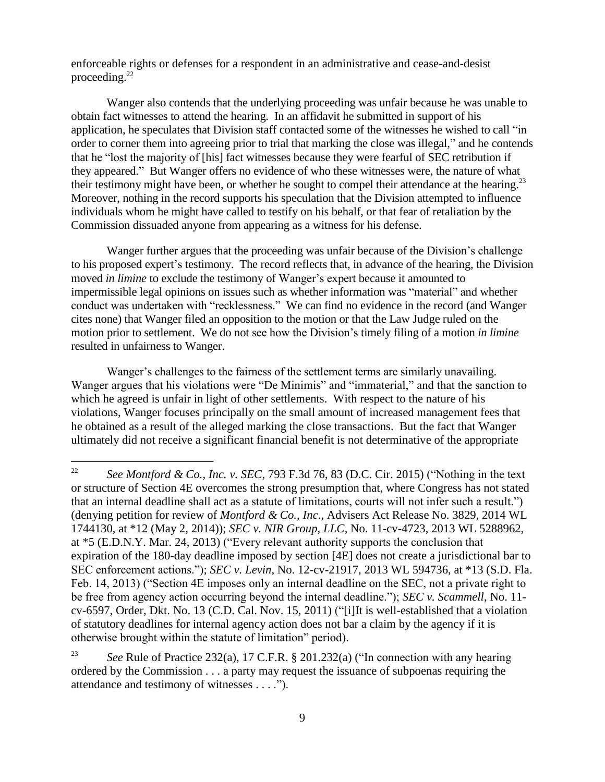enforceable rights or defenses for a respondent in an administrative and cease-and-desist proceeding. 22

Wanger also contends that the underlying proceeding was unfair because he was unable to obtain fact witnesses to attend the hearing. In an affidavit he submitted in support of his application, he speculates that Division staff contacted some of the witnesses he wished to call "in order to corner them into agreeing prior to trial that marking the close was illegal," and he contends that he "lost the majority of [his] fact witnesses because they were fearful of SEC retribution if they appeared." But Wanger offers no evidence of who these witnesses were, the nature of what their testimony might have been, or whether he sought to compel their attendance at the hearing.<sup>23</sup> Moreover, nothing in the record supports his speculation that the Division attempted to influence individuals whom he might have called to testify on his behalf, or that fear of retaliation by the Commission dissuaded anyone from appearing as a witness for his defense.

Wanger further argues that the proceeding was unfair because of the Division's challenge to his proposed expert's testimony. The record reflects that, in advance of the hearing, the Division moved *in limine* to exclude the testimony of Wanger's expert because it amounted to impermissible legal opinions on issues such as whether information was "material" and whether conduct was undertaken with "recklessness." We can find no evidence in the record (and Wanger cites none) that Wanger filed an opposition to the motion or that the Law Judge ruled on the motion prior to settlement. We do not see how the Division's timely filing of a motion *in limine*  resulted in unfairness to Wanger.

Wanger's challenges to the fairness of the settlement terms are similarly unavailing. Wanger argues that his violations were "De Minimis" and "immaterial," and that the sanction to which he agreed is unfair in light of other settlements. With respect to the nature of his violations, Wanger focuses principally on the small amount of increased management fees that he obtained as a result of the alleged marking the close transactions. But the fact that Wanger ultimately did not receive a significant financial benefit is not determinative of the appropriate

<sup>22</sup> *See Montford & Co., Inc. v. SEC*, 793 F.3d 76, 83 (D.C. Cir. 2015) ("Nothing in the text or structure of Section 4E overcomes the strong presumption that, where Congress has not stated that an internal deadline shall act as a statute of limitations, courts will not infer such a result.") (denying petition for review of *Montford & Co., Inc*., Advisers Act Release No. 3829, 2014 WL 1744130, at \*12 (May 2, 2014)); *SEC v. NIR Group, LLC*, No. 11-cv-4723, 2013 WL 5288962, at \*5 (E.D.N.Y. Mar. 24, 2013) ("Every relevant authority supports the conclusion that expiration of the 180-day deadline imposed by section [4E] does not create a jurisdictional bar to SEC enforcement actions."); *SEC v. Levin*, No. 12-cv-21917, 2013 WL 594736, at \*13 (S.D. Fla. Feb. 14, 2013) ("Section 4E imposes only an internal deadline on the SEC, not a private right to be free from agency action occurring beyond the internal deadline."); *SEC v. Scammell*, No. 11 cv-6597, Order, Dkt. No. 13 (C.D. Cal. Nov. 15, 2011) ("[i]It is well-established that a violation of statutory deadlines for internal agency action does not bar a claim by the agency if it is otherwise brought within the statute of limitation" period).

<sup>23</sup> *See* Rule of Practice 232(a), 17 C.F.R. § 201.232(a) ("In connection with any hearing ordered by the Commission . . . a party may request the issuance of subpoenas requiring the attendance and testimony of witnesses . . . .").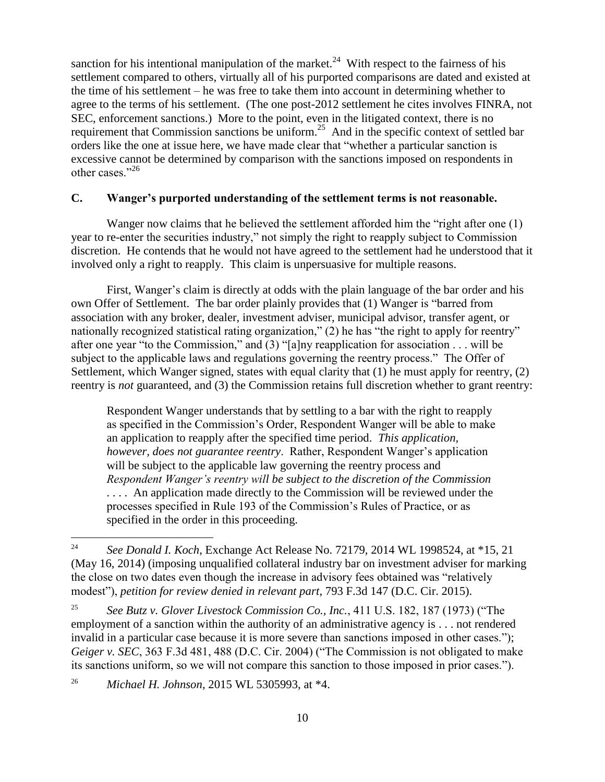sanction for his intentional manipulation of the market.<sup>24</sup> With respect to the fairness of his settlement compared to others, virtually all of his purported comparisons are dated and existed at the time of his settlement – he was free to take them into account in determining whether to agree to the terms of his settlement. (The one post-2012 settlement he cites involves FINRA, not SEC, enforcement sanctions.) More to the point, even in the litigated context, there is no requirement that Commission sanctions be uniform.<sup>25</sup> And in the specific context of settled bar orders like the one at issue here, we have made clear that "whether a particular sanction is excessive cannot be determined by comparison with the sanctions imposed on respondents in other cases<sup>"26</sup>

#### **C. Wanger's purported understanding of the settlement terms is not reasonable.**

Wanger now claims that he believed the settlement afforded him the "right after one (1) year to re-enter the securities industry," not simply the right to reapply subject to Commission discretion. He contends that he would not have agreed to the settlement had he understood that it involved only a right to reapply. This claim is unpersuasive for multiple reasons.

First, Wanger's claim is directly at odds with the plain language of the bar order and his own Offer of Settlement. The bar order plainly provides that (1) Wanger is "barred from association with any broker, dealer, investment adviser, municipal advisor, transfer agent, or nationally recognized statistical rating organization," (2) he has "the right to apply for reentry" after one year "to the Commission," and  $(3)$  "[a]ny reapplication for association . . . will be subject to the applicable laws and regulations governing the reentry process." The Offer of Settlement, which Wanger signed, states with equal clarity that (1) he must apply for reentry, (2) reentry is *not* guaranteed, and (3) the Commission retains full discretion whether to grant reentry:

Respondent Wanger understands that by settling to a bar with the right to reapply as specified in the Commission's Order, Respondent Wanger will be able to make an application to reapply after the specified time period. *This application, however, does not guarantee reentry*. Rather, Respondent Wanger's application will be subject to the applicable law governing the reentry process and *Respondent Wanger's reentry will be subject to the discretion of the Commission*  .... An application made directly to the Commission will be reviewed under the processes specified in Rule 193 of the Commission's Rules of Practice, or as specified in the order in this proceeding.

<sup>26</sup> *Michael H. Johnson*, 2015 WL 5305993, at \*4.

<sup>24</sup> <sup>24</sup> *See Donald I. Koch*, Exchange Act Release No. 72179, 2014 WL 1998524, at \*15, 21 (May 16, 2014) (imposing unqualified collateral industry bar on investment adviser for marking the close on two dates even though the increase in advisory fees obtained was "relatively modest"), *petition for review denied in relevant part*, 793 F.3d 147 (D.C. Cir. 2015).

<sup>25</sup> *See Butz v. Glover Livestock Commission Co., Inc.*, 411 U.S. 182, 187 (1973) ("The employment of a sanction within the authority of an administrative agency is . . . not rendered invalid in a particular case because it is more severe than sanctions imposed in other cases."); *Geiger v. SEC*, 363 F.3d 481, 488 (D.C. Cir. 2004) ("The Commission is not obligated to make its sanctions uniform, so we will not compare this sanction to those imposed in prior cases.").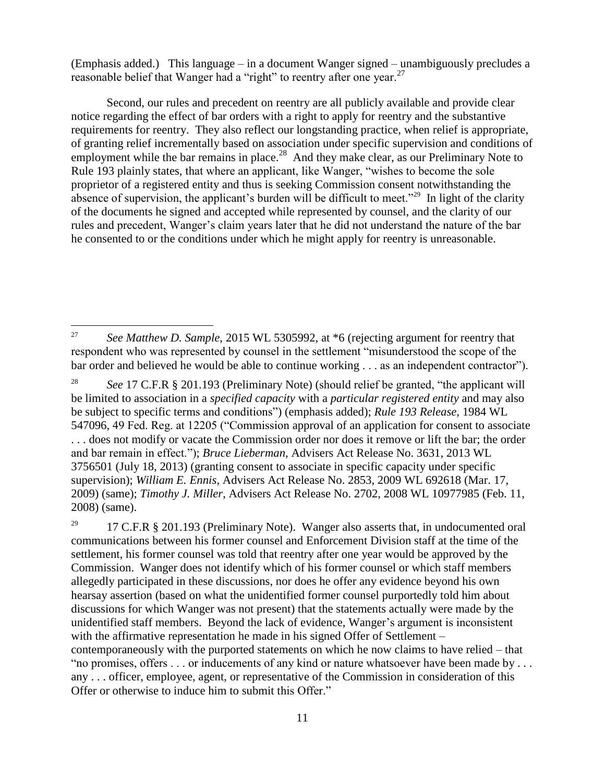(Emphasis added.) This language – in a document Wanger signed – unambiguously precludes a reasonable belief that Wanger had a "right" to reentry after one year.<sup>27</sup>

Second, our rules and precedent on reentry are all publicly available and provide clear notice regarding the effect of bar orders with a right to apply for reentry and the substantive requirements for reentry. They also reflect our longstanding practice, when relief is appropriate, of granting relief incrementally based on association under specific supervision and conditions of employment while the bar remains in place.<sup>28</sup> And they make clear, as our Preliminary Note to Rule 193 plainly states, that where an applicant, like Wanger, "wishes to become the sole proprietor of a registered entity and thus is seeking Commission consent notwithstanding the absence of supervision, the applicant's burden will be difficult to meet."<sup>29</sup> In light of the clarity of the documents he signed and accepted while represented by counsel, and the clarity of our rules and precedent, Wanger's claim years later that he did not understand the nature of the bar he consented to or the conditions under which he might apply for reentry is unreasonable.

<sup>&</sup>lt;sup>27</sup> *See Matthew D. Sample*, 2015 WL 5305992, at  $*6$  (rejecting argument for reentry that respondent who was represented by counsel in the settlement "misunderstood the scope of the bar order and believed he would be able to continue working . . . as an independent contractor").

<sup>28</sup> *See* 17 C.F.R § 201.193 (Preliminary Note) (should relief be granted, "the applicant will be limited to association in a *specified capacity* with a *particular registered entity* and may also be subject to specific terms and conditions") (emphasis added); *Rule 193 Release*, 1984 WL 547096, 49 Fed. Reg. at 12205 ("Commission approval of an application for consent to associate . . . does not modify or vacate the Commission order nor does it remove or lift the bar; the order and bar remain in effect."); *Bruce Lieberman*, Advisers Act Release No. 3631, 2013 WL 3756501 (July 18, 2013) (granting consent to associate in specific capacity under specific supervision); *William E. Ennis*, Advisers Act Release No. 2853, 2009 WL 692618 (Mar. 17, 2009) (same); *Timothy J. Miller*, Advisers Act Release No. 2702, 2008 WL 10977985 (Feb. 11, 2008) (same).

<sup>&</sup>lt;sup>29</sup> 17 C.F.R § 201.193 (Preliminary Note). Wanger also asserts that, in undocumented oral communications between his former counsel and Enforcement Division staff at the time of the settlement, his former counsel was told that reentry after one year would be approved by the Commission. Wanger does not identify which of his former counsel or which staff members allegedly participated in these discussions, nor does he offer any evidence beyond his own hearsay assertion (based on what the unidentified former counsel purportedly told him about discussions for which Wanger was not present) that the statements actually were made by the unidentified staff members. Beyond the lack of evidence, Wanger's argument is inconsistent with the affirmative representation he made in his signed Offer of Settlement – contemporaneously with the purported statements on which he now claims to have relied – that "no promises, offers . . . or inducements of any kind or nature whatsoever have been made by . . . any . . . officer, employee, agent, or representative of the Commission in consideration of this Offer or otherwise to induce him to submit this Offer."